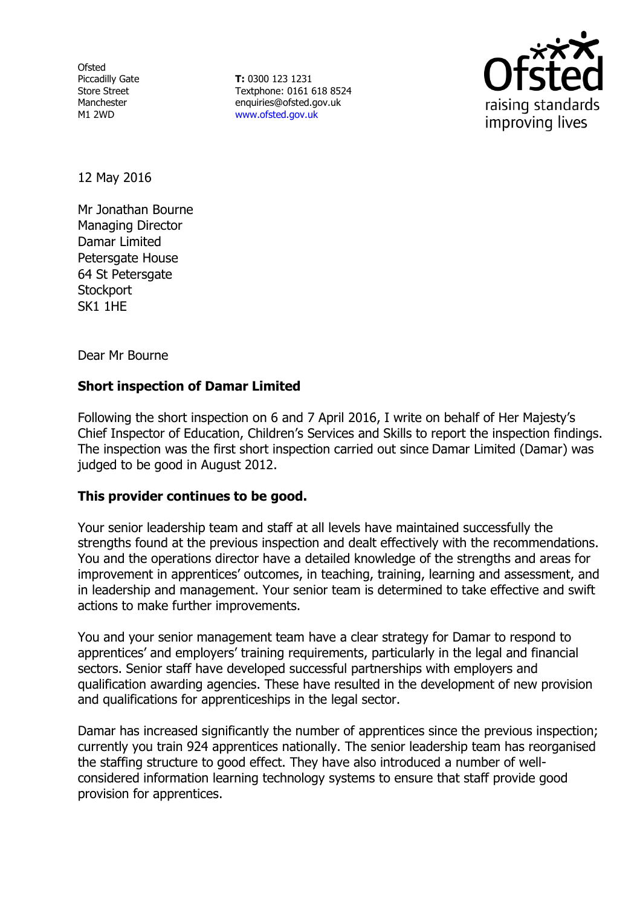Ofsted Piccadilly Gate Store Street Manchester M1 2WD

**T:** 0300 123 1231 Textphone: 0161 618 8524 enquiries@ofsted.gov.uk www.ofsted.gov.uk



12 May 2016

Mr Jonathan Bourne Managing Director Damar Limited Petersgate House 64 St Petersgate **Stockport** SK1 1HE

Dear Mr Bourne

# **Short inspection of Damar Limited**

Following the short inspection on 6 and 7 April 2016, I write on behalf of Her Majesty's Chief Inspector of Education, Children's Services and Skills to report the inspection findings. The inspection was the first short inspection carried out since Damar Limited (Damar) was judged to be good in August 2012.

### **This provider continues to be good.**

Your senior leadership team and staff at all levels have maintained successfully the strengths found at the previous inspection and dealt effectively with the recommendations. You and the operations director have a detailed knowledge of the strengths and areas for improvement in apprentices' outcomes, in teaching, training, learning and assessment, and in leadership and management. Your senior team is determined to take effective and swift actions to make further improvements.

You and your senior management team have a clear strategy for Damar to respond to apprentices' and employers' training requirements, particularly in the legal and financial sectors. Senior staff have developed successful partnerships with employers and qualification awarding agencies. These have resulted in the development of new provision and qualifications for apprenticeships in the legal sector.

Damar has increased significantly the number of apprentices since the previous inspection; currently you train 924 apprentices nationally. The senior leadership team has reorganised the staffing structure to good effect. They have also introduced a number of wellconsidered information learning technology systems to ensure that staff provide good provision for apprentices.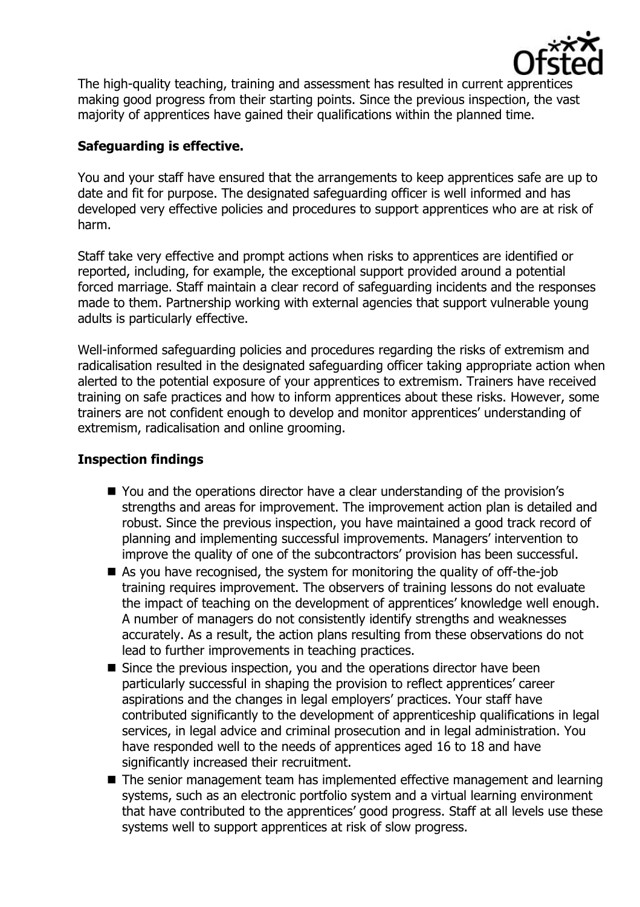

The high-quality teaching, training and assessment has resulted in current apprentices making good progress from their starting points. Since the previous inspection, the vast majority of apprentices have gained their qualifications within the planned time.

# **Safeguarding is effective.**

You and your staff have ensured that the arrangements to keep apprentices safe are up to date and fit for purpose. The designated safeguarding officer is well informed and has developed very effective policies and procedures to support apprentices who are at risk of harm.

Staff take very effective and prompt actions when risks to apprentices are identified or reported, including, for example, the exceptional support provided around a potential forced marriage. Staff maintain a clear record of safeguarding incidents and the responses made to them. Partnership working with external agencies that support vulnerable young adults is particularly effective.

Well-informed safeguarding policies and procedures regarding the risks of extremism and radicalisation resulted in the designated safeguarding officer taking appropriate action when alerted to the potential exposure of your apprentices to extremism. Trainers have received training on safe practices and how to inform apprentices about these risks. However, some trainers are not confident enough to develop and monitor apprentices' understanding of extremism, radicalisation and online grooming.

## **Inspection findings**

- You and the operations director have a clear understanding of the provision's strengths and areas for improvement. The improvement action plan is detailed and robust. Since the previous inspection, you have maintained a good track record of planning and implementing successful improvements. Managers' intervention to improve the quality of one of the subcontractors' provision has been successful.
- As you have recognised, the system for monitoring the quality of off-the-job training requires improvement. The observers of training lessons do not evaluate the impact of teaching on the development of apprentices' knowledge well enough. A number of managers do not consistently identify strengths and weaknesses accurately. As a result, the action plans resulting from these observations do not lead to further improvements in teaching practices.
- $\blacksquare$  Since the previous inspection, you and the operations director have been particularly successful in shaping the provision to reflect apprentices' career aspirations and the changes in legal employers' practices. Your staff have contributed significantly to the development of apprenticeship qualifications in legal services, in legal advice and criminal prosecution and in legal administration. You have responded well to the needs of apprentices aged 16 to 18 and have significantly increased their recruitment.
- The senior management team has implemented effective management and learning systems, such as an electronic portfolio system and a virtual learning environment that have contributed to the apprentices' good progress. Staff at all levels use these systems well to support apprentices at risk of slow progress.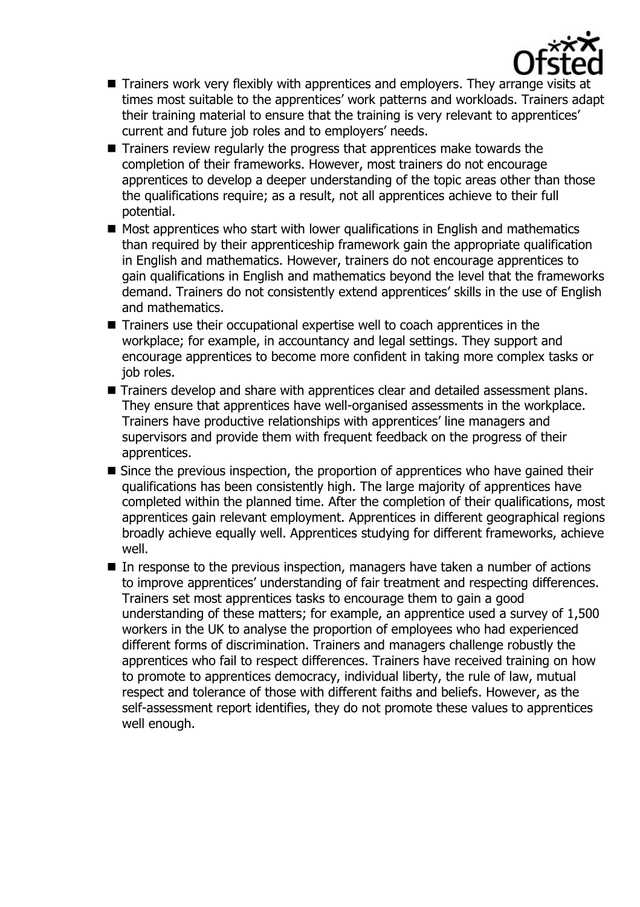

- Trainers work very flexibly with apprentices and employers. They arrange visits at times most suitable to the apprentices' work patterns and workloads. Trainers adapt their training material to ensure that the training is very relevant to apprentices' current and future job roles and to employers' needs.
- Trainers review regularly the progress that apprentices make towards the completion of their frameworks. However, most trainers do not encourage apprentices to develop a deeper understanding of the topic areas other than those the qualifications require; as a result, not all apprentices achieve to their full potential.
- $\blacksquare$  Most apprentices who start with lower qualifications in English and mathematics than required by their apprenticeship framework gain the appropriate qualification in English and mathematics. However, trainers do not encourage apprentices to gain qualifications in English and mathematics beyond the level that the frameworks demand. Trainers do not consistently extend apprentices' skills in the use of English and mathematics.
- Trainers use their occupational expertise well to coach apprentices in the workplace; for example, in accountancy and legal settings. They support and encourage apprentices to become more confident in taking more complex tasks or job roles.
- Trainers develop and share with apprentices clear and detailed assessment plans. They ensure that apprentices have well-organised assessments in the workplace. Trainers have productive relationships with apprentices' line managers and supervisors and provide them with frequent feedback on the progress of their apprentices.
- Since the previous inspection, the proportion of apprentices who have gained their qualifications has been consistently high. The large majority of apprentices have completed within the planned time. After the completion of their qualifications, most apprentices gain relevant employment. Apprentices in different geographical regions broadly achieve equally well. Apprentices studying for different frameworks, achieve well.
- $\blacksquare$  In response to the previous inspection, managers have taken a number of actions to improve apprentices' understanding of fair treatment and respecting differences. Trainers set most apprentices tasks to encourage them to gain a good understanding of these matters; for example, an apprentice used a survey of 1,500 workers in the UK to analyse the proportion of employees who had experienced different forms of discrimination. Trainers and managers challenge robustly the apprentices who fail to respect differences. Trainers have received training on how to promote to apprentices democracy, individual liberty, the rule of law, mutual respect and tolerance of those with different faiths and beliefs. However, as the self-assessment report identifies, they do not promote these values to apprentices well enough.